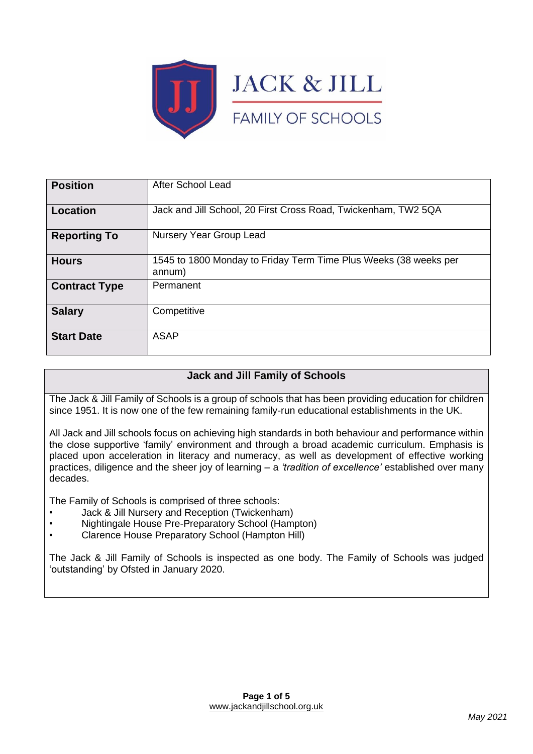

| <b>Position</b>      | <b>After School Lead</b>                                                   |
|----------------------|----------------------------------------------------------------------------|
| Location             | Jack and Jill School, 20 First Cross Road, Twickenham, TW2 5QA             |
| <b>Reporting To</b>  | Nursery Year Group Lead                                                    |
| <b>Hours</b>         | 1545 to 1800 Monday to Friday Term Time Plus Weeks (38 weeks per<br>annum) |
| <b>Contract Type</b> | Permanent                                                                  |
| <b>Salary</b>        | Competitive                                                                |
| <b>Start Date</b>    | <b>ASAP</b>                                                                |

# **Jack and Jill Family of Schools**

The Jack & Jill Family of Schools is a group of schools that has been providing education for children since 1951. It is now one of the few remaining family-run educational establishments in the UK.

All Jack and Jill schools focus on achieving high standards in both behaviour and performance within the close supportive 'family' environment and through a broad academic curriculum. Emphasis is placed upon acceleration in literacy and numeracy, as well as development of effective working practices, diligence and the sheer joy of learning – a *'tradition of excellence'* established over many decades.

The Family of Schools is comprised of three schools:

- Jack & Jill Nursery and Reception (Twickenham)
- Nightingale House Pre-Preparatory School (Hampton)
- Clarence House Preparatory School (Hampton Hill)

The Jack & Jill Family of Schools is inspected as one body. The Family of Schools was judged 'outstanding' by Ofsted in January 2020.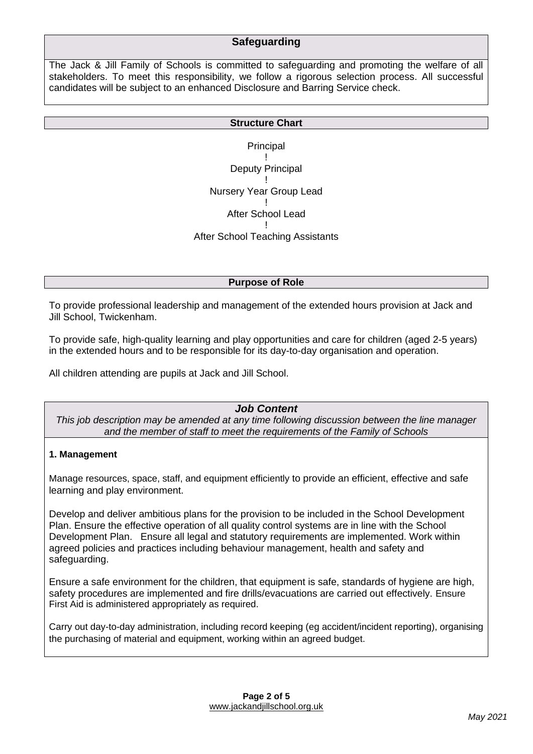## **Safeguarding**

The Jack & Jill Family of Schools is committed to safeguarding and promoting the welfare of all stakeholders. To meet this responsibility, we follow a rigorous selection process. All successful candidates will be subject to an enhanced Disclosure and Barring Service check.

#### **Structure Chart**

Principal ! Deputy Principal ! Nursery Year Group Lead ! After School Lead ! After School Teaching Assistants

**Purpose of Role**

To provide professional leadership and management of the extended hours provision at Jack and Jill School, Twickenham.

To provide safe, high-quality learning and play opportunities and care for children (aged 2-5 years) in the extended hours and to be responsible for its day-to-day organisation and operation.

All children attending are pupils at Jack and Jill School.

*Job Content*

*This job description may be amended at any time following discussion between the line manager and the member of staff to meet the requirements of the Family of Schools*

### **1. Management**

Manage resources, space, staff, and equipment efficiently to provide an efficient, effective and safe learning and play environment.

Develop and deliver ambitious plans for the provision to be included in the School Development Plan. Ensure the effective operation of all quality control systems are in line with the School Development Plan. Ensure all legal and statutory requirements are implemented. Work within agreed policies and practices including behaviour management, health and safety and safeguarding.

Ensure a safe environment for the children, that equipment is safe, standards of hygiene are high, safety procedures are implemented and fire drills/evacuations are carried out effectively. Ensure First Aid is administered appropriately as required.

Carry out day-to-day administration, including record keeping (eg accident/incident reporting), organising the purchasing of material and equipment, working within an agreed budget.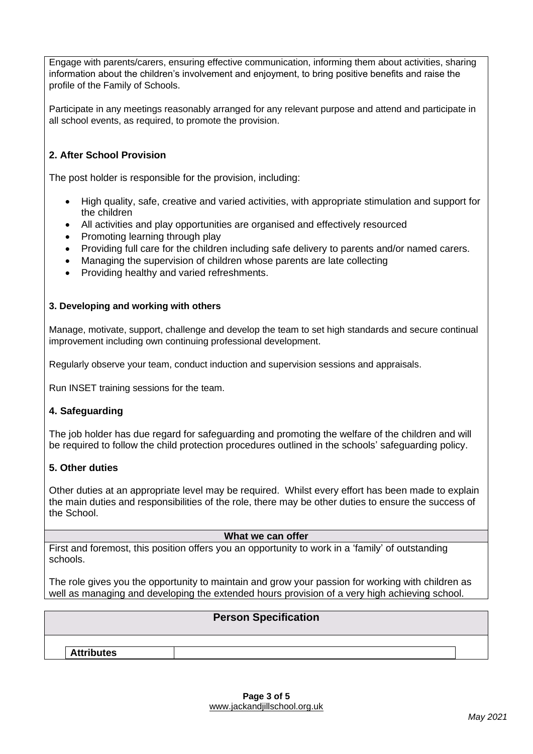Engage with parents/carers, ensuring effective communication, informing them about activities, sharing information about the children's involvement and enjoyment, to bring positive benefits and raise the profile of the Family of Schools.

Participate in any meetings reasonably arranged for any relevant purpose and attend and participate in all school events, as required, to promote the provision.

## **2. After School Provision**

The post holder is responsible for the provision, including:

- High quality, safe, creative and varied activities, with appropriate stimulation and support for the children
- All activities and play opportunities are organised and effectively resourced
- Promoting learning through play
- Providing full care for the children including safe delivery to parents and/or named carers.
- Managing the supervision of children whose parents are late collecting
- Providing healthy and varied refreshments.

#### **3. Developing and working with others**

Manage, motivate, support, challenge and develop the team to set high standards and secure continual improvement including own continuing professional development.

Regularly observe your team, conduct induction and supervision sessions and appraisals.

Run INSET training sessions for the team.

#### **4. Safeguarding**

The job holder has due regard for safeguarding and promoting the welfare of the children and will be required to follow the child protection procedures outlined in the schools' safeguarding policy.

#### **5. Other duties**

Other duties at an appropriate level may be required. Whilst every effort has been made to explain the main duties and responsibilities of the role, there may be other duties to ensure the success of the School.

#### **What we can offer**

First and foremost, this position offers you an opportunity to work in a 'family' of outstanding schools.

The role gives you the opportunity to maintain and grow your passion for working with children as well as managing and developing the extended hours provision of a very high achieving school.

|                   | <b>Person Specification</b> |  |
|-------------------|-----------------------------|--|
|                   |                             |  |
| <b>Attributes</b> |                             |  |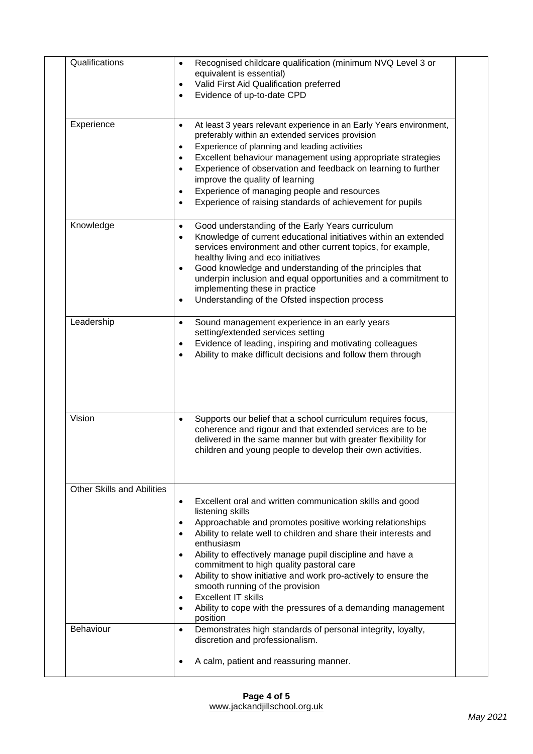| Qualifications             | Recognised childcare qualification (minimum NVQ Level 3 or<br>$\bullet$<br>equivalent is essential)<br>Valid First Aid Qualification preferred<br>$\bullet$<br>Evidence of up-to-date CPD<br>$\bullet$                                                                                                                                                                                                                                                                                                                                                                                    |
|----------------------------|-------------------------------------------------------------------------------------------------------------------------------------------------------------------------------------------------------------------------------------------------------------------------------------------------------------------------------------------------------------------------------------------------------------------------------------------------------------------------------------------------------------------------------------------------------------------------------------------|
| Experience                 | At least 3 years relevant experience in an Early Years environment,<br>$\bullet$<br>preferably within an extended services provision<br>Experience of planning and leading activities<br>٠<br>Excellent behaviour management using appropriate strategies<br>٠<br>Experience of observation and feedback on learning to further<br>$\bullet$<br>improve the quality of learning<br>Experience of managing people and resources<br>$\bullet$<br>Experience of raising standards of achievement for pupils                                                                                  |
| Knowledge                  | Good understanding of the Early Years curriculum<br>٠<br>Knowledge of current educational initiatives within an extended<br>$\bullet$<br>services environment and other current topics, for example,<br>healthy living and eco initiatives<br>Good knowledge and understanding of the principles that<br>underpin inclusion and equal opportunities and a commitment to<br>implementing these in practice<br>Understanding of the Ofsted inspection process                                                                                                                               |
| Leadership                 | Sound management experience in an early years<br>$\bullet$<br>setting/extended services setting<br>Evidence of leading, inspiring and motivating colleagues<br>٠<br>Ability to make difficult decisions and follow them through<br>٠                                                                                                                                                                                                                                                                                                                                                      |
| Vision                     | Supports our belief that a school curriculum requires focus,<br>$\bullet$<br>coherence and rigour and that extended services are to be<br>delivered in the same manner but with greater flexibility for<br>children and young people to develop their own activities.                                                                                                                                                                                                                                                                                                                     |
| Other Skills and Abilities | Excellent oral and written communication skills and good<br>$\bullet$<br>listening skills<br>Approachable and promotes positive working relationships<br>Ability to relate well to children and share their interests and<br>enthusiasm<br>Ability to effectively manage pupil discipline and have a<br>commitment to high quality pastoral care<br>Ability to show initiative and work pro-actively to ensure the<br>$\bullet$<br>smooth running of the provision<br><b>Excellent IT skills</b><br>$\bullet$<br>Ability to cope with the pressures of a demanding management<br>position |
| Behaviour                  | Demonstrates high standards of personal integrity, loyalty,<br>$\bullet$<br>discretion and professionalism.<br>A calm, patient and reassuring manner.                                                                                                                                                                                                                                                                                                                                                                                                                                     |